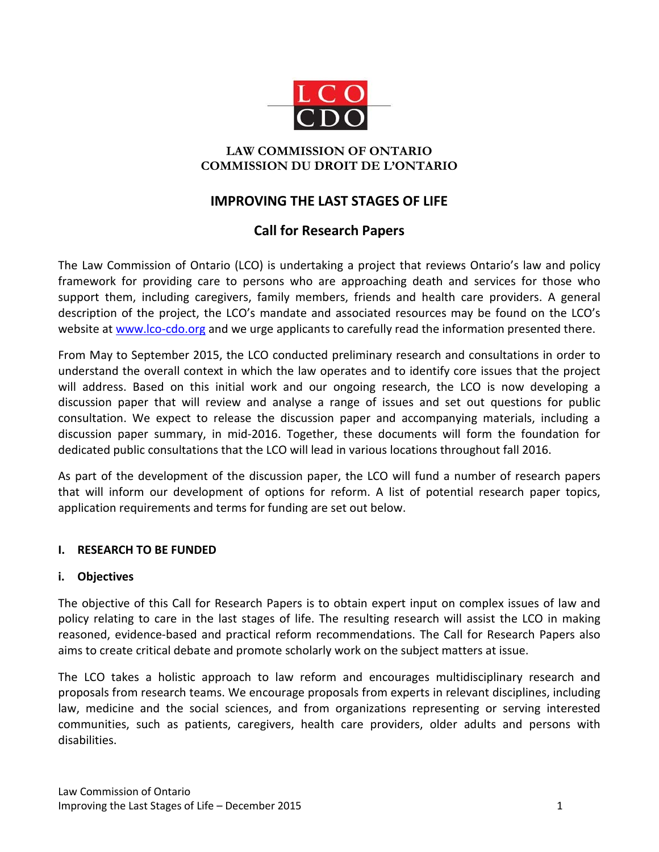

# **LAW COMMISSION OF ONTARIO COMMISSION DU DROIT DE L'ONTARIO**

# **IMPROVING THE LAST STAGES OF LIFE**

# **Call for Research Papers**

The Law Commission of Ontario (LCO) is undertaking a project that reviews Ontario's law and policy framework for providing care to persons who are approaching death and services for those who support them, including caregivers, family members, friends and health care providers. A general description of the project, the LCO's mandate and associated resources may be found on the LCO's website at [www.lco-cdo.org](http://www.lco-cdo.org/en/last-stages-of-life) and we urge applicants to carefully read the information presented there.

From May to September 2015, the LCO conducted preliminary research and consultations in order to understand the overall context in which the law operates and to identify core issues that the project will address. Based on this initial work and our ongoing research, the LCO is now developing a discussion paper that will review and analyse a range of issues and set out questions for public consultation. We expect to release the discussion paper and accompanying materials, including a discussion paper summary, in mid-2016. Together, these documents will form the foundation for dedicated public consultations that the LCO will lead in various locations throughout fall 2016.

As part of the development of the discussion paper, the LCO will fund a number of research papers that will inform our development of options for reform. A list of potential research paper topics, application requirements and terms for funding are set out below.

# **I. RESEARCH TO BE FUNDED**

# **i. Objectives**

The objective of this Call for Research Papers is to obtain expert input on complex issues of law and policy relating to care in the last stages of life. The resulting research will assist the LCO in making reasoned, evidence-based and practical reform recommendations. The Call for Research Papers also aims to create critical debate and promote scholarly work on the subject matters at issue.

The LCO takes a holistic approach to law reform and encourages multidisciplinary research and proposals from research teams. We encourage proposals from experts in relevant disciplines, including law, medicine and the social sciences, and from organizations representing or serving interested communities, such as patients, caregivers, health care providers, older adults and persons with disabilities.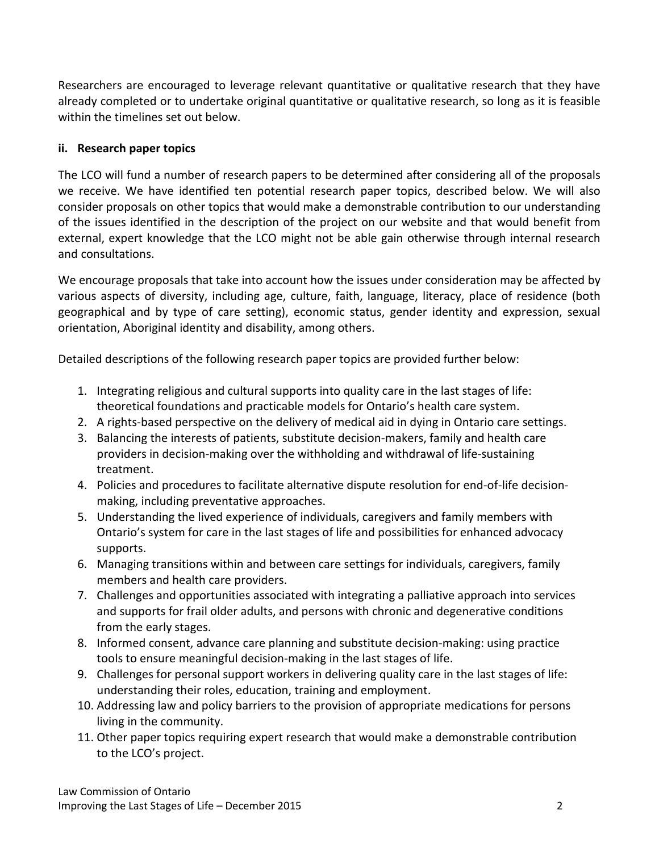Researchers are encouraged to leverage relevant quantitative or qualitative research that they have already completed or to undertake original quantitative or qualitative research, so long as it is feasible within the timelines set out below.

# **ii. Research paper topics**

The LCO will fund a number of research papers to be determined after considering all of the proposals we receive. We have identified ten potential research paper topics, described below. We will also consider proposals on other topics that would make a demonstrable contribution to our understanding of the issues identified in the description of the project on our website and that would benefit from external, expert knowledge that the LCO might not be able gain otherwise through internal research and consultations.

We encourage proposals that take into account how the issues under consideration may be affected by various aspects of diversity, including age, culture, faith, language, literacy, place of residence (both geographical and by type of care setting), economic status, gender identity and expression, sexual orientation, Aboriginal identity and disability, among others.

Detailed descriptions of the following research paper topics are provided further below:

- 1. Integrating religious and cultural supports into quality care in the last stages of life: theoretical foundations and practicable models for Ontario's health care system.
- 2. A rights-based perspective on the delivery of medical aid in dying in Ontario care settings.
- 3. Balancing the interests of patients, substitute decision-makers, family and health care providers in decision-making over the withholding and withdrawal of life-sustaining treatment.
- 4. Policies and procedures to facilitate alternative dispute resolution for end-of-life decisionmaking, including preventative approaches.
- 5. Understanding the lived experience of individuals, caregivers and family members with Ontario's system for care in the last stages of life and possibilities for enhanced advocacy supports.
- 6. Managing transitions within and between care settings for individuals, caregivers, family members and health care providers.
- 7. Challenges and opportunities associated with integrating a palliative approach into services and supports for frail older adults, and persons with chronic and degenerative conditions from the early stages.
- 8. Informed consent, advance care planning and substitute decision-making: using practice tools to ensure meaningful decision-making in the last stages of life.
- 9. Challenges for personal support workers in delivering quality care in the last stages of life: understanding their roles, education, training and employment.
- 10. Addressing law and policy barriers to the provision of appropriate medications for persons living in the community.
- 11. Other paper topics requiring expert research that would make a demonstrable contribution to the LCO's project.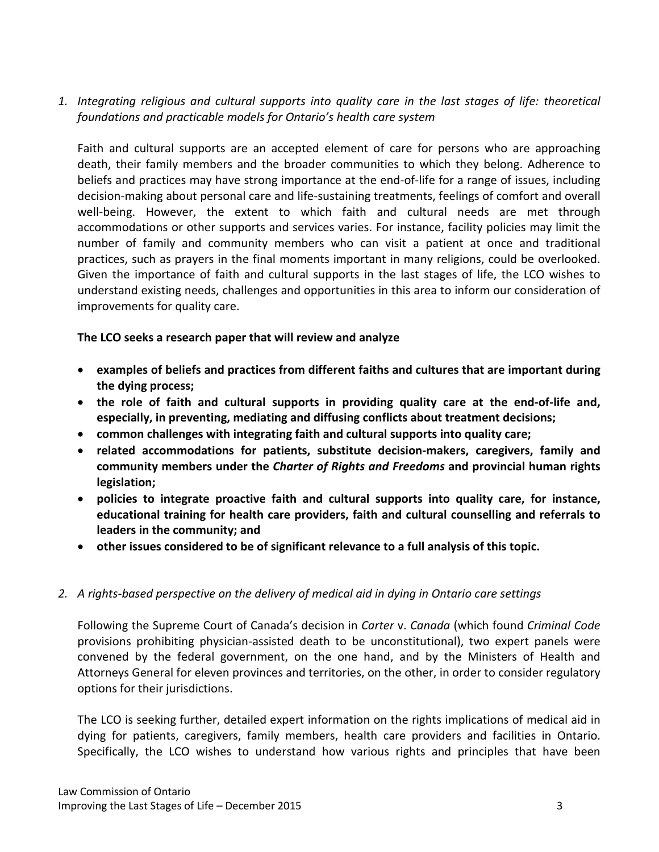*1. Integrating religious and cultural supports into quality care in the last stages of life: theoretical foundations and practicable models for Ontario's health care system*

Faith and cultural supports are an accepted element of care for persons who are approaching death, their family members and the broader communities to which they belong. Adherence to beliefs and practices may have strong importance at the end-of-life for a range of issues, including decision-making about personal care and life-sustaining treatments, feelings of comfort and overall well-being. However, the extent to which faith and cultural needs are met through accommodations or other supports and services varies. For instance, facility policies may limit the number of family and community members who can visit a patient at once and traditional practices, such as prayers in the final moments important in many religions, could be overlooked. Given the importance of faith and cultural supports in the last stages of life, the LCO wishes to understand existing needs, challenges and opportunities in this area to inform our consideration of improvements for quality care.

#### **The LCO seeks a research paper that will review and analyze**

- **examples of beliefs and practices from different faiths and cultures that are important during the dying process;**
- **the role of faith and cultural supports in providing quality care at the end-of-life and, especially, in preventing, mediating and diffusing conflicts about treatment decisions;**
- **common challenges with integrating faith and cultural supports into quality care;**
- **related accommodations for patients, substitute decision-makers, caregivers, family and community members under the** *Charter of Rights and Freedoms* **and provincial human rights legislation;**
- **policies to integrate proactive faith and cultural supports into quality care, for instance, educational training for health care providers, faith and cultural counselling and referrals to leaders in the community; and**
- **other issues considered to be of significant relevance to a full analysis of this topic.**

# *2. A rights-based perspective on the delivery of medical aid in dying in Ontario care settings*

Following the Supreme Court of Canada's decision in *Carter* v. *Canada* (which found *Criminal Code* provisions prohibiting physician-assisted death to be unconstitutional), two expert panels were convened by the federal government, on the one hand, and by the Ministers of Health and Attorneys General for eleven provinces and territories, on the other, in order to consider regulatory options for their jurisdictions.

The LCO is seeking further, detailed expert information on the rights implications of medical aid in dying for patients, caregivers, family members, health care providers and facilities in Ontario. Specifically, the LCO wishes to understand how various rights and principles that have been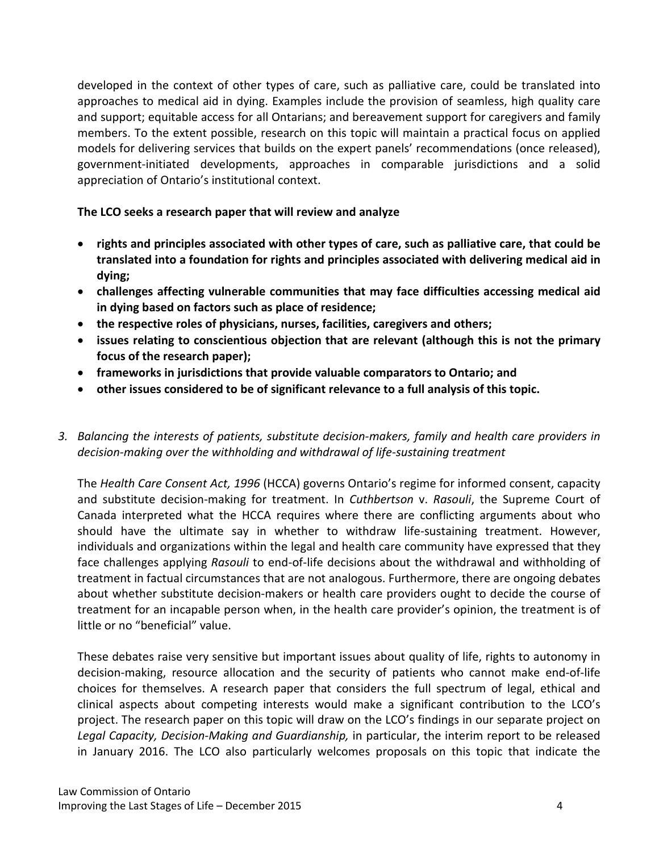developed in the context of other types of care, such as palliative care, could be translated into approaches to medical aid in dying. Examples include the provision of seamless, high quality care and support; equitable access for all Ontarians; and bereavement support for caregivers and family members. To the extent possible, research on this topic will maintain a practical focus on applied models for delivering services that builds on the expert panels' recommendations (once released), government-initiated developments, approaches in comparable jurisdictions and a solid appreciation of Ontario's institutional context.

# **The LCO seeks a research paper that will review and analyze**

- **rights and principles associated with other types of care, such as palliative care, that could be translated into a foundation for rights and principles associated with delivering medical aid in dying;**
- **challenges affecting vulnerable communities that may face difficulties accessing medical aid in dying based on factors such as place of residence;**
- **the respective roles of physicians, nurses, facilities, caregivers and others;**
- **issues relating to conscientious objection that are relevant (although this is not the primary focus of the research paper);**
- **frameworks in jurisdictions that provide valuable comparators to Ontario; and**
- **other issues considered to be of significant relevance to a full analysis of this topic.**
- *3. Balancing the interests of patients, substitute decision-makers, family and health care providers in decision-making over the withholding and withdrawal of life-sustaining treatment*

The *Health Care Consent Act, 1996* (HCCA) governs Ontario's regime for informed consent, capacity and substitute decision-making for treatment. In *Cuthbertson* v. *Rasouli*, the Supreme Court of Canada interpreted what the HCCA requires where there are conflicting arguments about who should have the ultimate say in whether to withdraw life-sustaining treatment. However, individuals and organizations within the legal and health care community have expressed that they face challenges applying *Rasouli* to end-of-life decisions about the withdrawal and withholding of treatment in factual circumstances that are not analogous. Furthermore, there are ongoing debates about whether substitute decision-makers or health care providers ought to decide the course of treatment for an incapable person when, in the health care provider's opinion, the treatment is of little or no "beneficial" value.

These debates raise very sensitive but important issues about quality of life, rights to autonomy in decision-making, resource allocation and the security of patients who cannot make end-of-life choices for themselves. A research paper that considers the full spectrum of legal, ethical and clinical aspects about competing interests would make a significant contribution to the LCO's project. The research paper on this topic will draw on the LCO's findings in our separate project on Legal Capacity, Decision-Making and Guardianship, in particular, the interim report to be released in January 2016. The LCO also particularly welcomes proposals on this topic that indicate the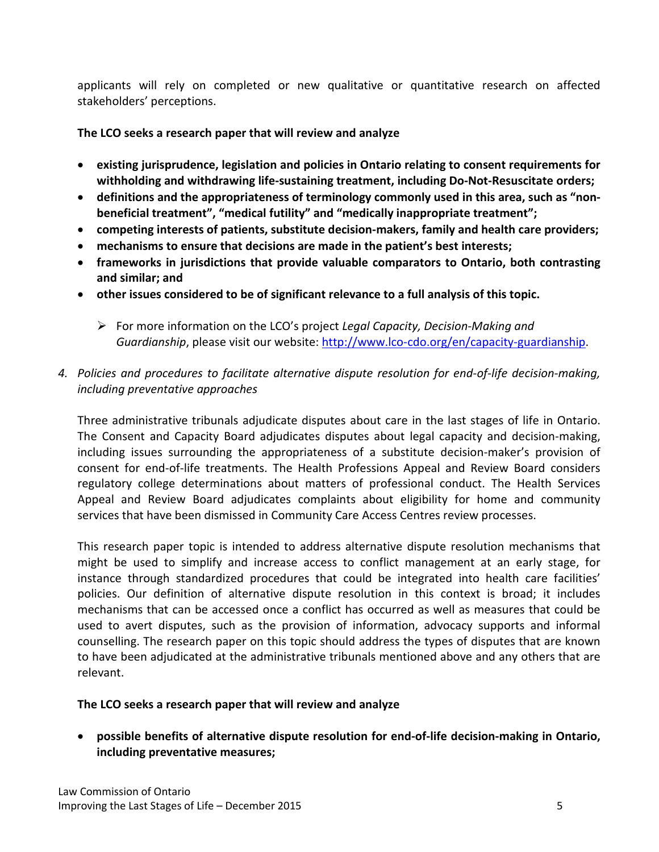applicants will rely on completed or new qualitative or quantitative research on affected stakeholders' perceptions.

### **The LCO seeks a research paper that will review and analyze**

- **existing jurisprudence, legislation and policies in Ontario relating to consent requirements for withholding and withdrawing life-sustaining treatment, including Do-Not-Resuscitate orders;**
- **definitions and the appropriateness of terminology commonly used in this area, such as "nonbeneficial treatment", "medical futility" and "medically inappropriate treatment";**
- **competing interests of patients, substitute decision-makers, family and health care providers;**
- **mechanisms to ensure that decisions are made in the patient's best interests;**
- **frameworks in jurisdictions that provide valuable comparators to Ontario, both contrasting and similar; and**
- **other issues considered to be of significant relevance to a full analysis of this topic.**
	- For more information on the LCO's project *Legal Capacity, Decision-Making and Guardianship*, please visit our website: [http://www.lco-cdo.org/en/capacity-guardianship.](http://www.lco-cdo.org/en/capacity-guardianship)
- *4. Policies and procedures to facilitate alternative dispute resolution for end-of-life decision-making, including preventative approaches*

Three administrative tribunals adjudicate disputes about care in the last stages of life in Ontario. The Consent and Capacity Board adjudicates disputes about legal capacity and decision-making, including issues surrounding the appropriateness of a substitute decision-maker's provision of consent for end-of-life treatments. The Health Professions Appeal and Review Board considers regulatory college determinations about matters of professional conduct. The Health Services Appeal and Review Board adjudicates complaints about eligibility for home and community services that have been dismissed in Community Care Access Centres review processes.

This research paper topic is intended to address alternative dispute resolution mechanisms that might be used to simplify and increase access to conflict management at an early stage, for instance through standardized procedures that could be integrated into health care facilities' policies. Our definition of alternative dispute resolution in this context is broad; it includes mechanisms that can be accessed once a conflict has occurred as well as measures that could be used to avert disputes, such as the provision of information, advocacy supports and informal counselling. The research paper on this topic should address the types of disputes that are known to have been adjudicated at the administrative tribunals mentioned above and any others that are relevant.

# **The LCO seeks a research paper that will review and analyze**

• **possible benefits of alternative dispute resolution for end-of-life decision-making in Ontario, including preventative measures;**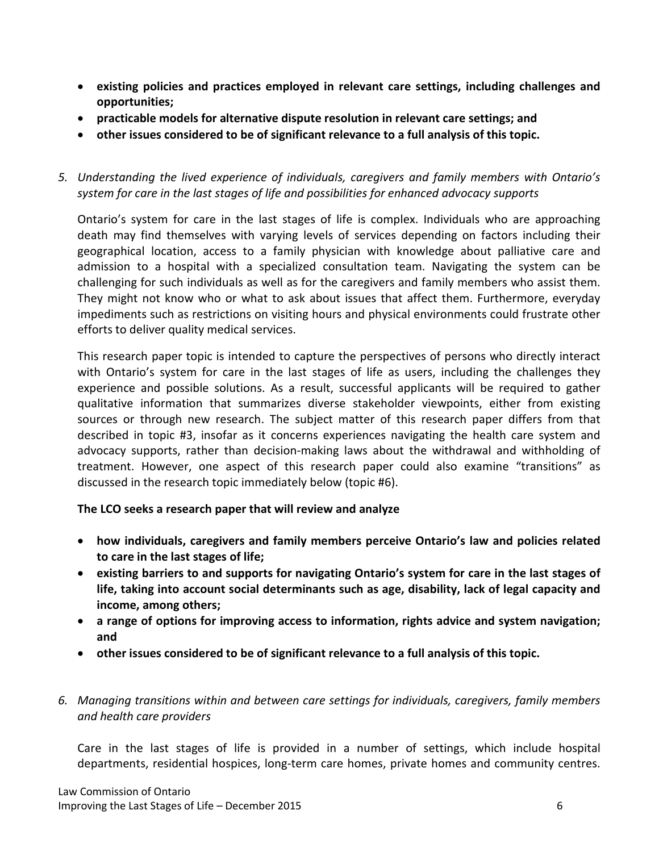- **existing policies and practices employed in relevant care settings, including challenges and opportunities;**
- **practicable models for alternative dispute resolution in relevant care settings; and**
- **other issues considered to be of significant relevance to a full analysis of this topic.**

*5. Understanding the lived experience of individuals, caregivers and family members with Ontario's system for care in the last stages of life and possibilities for enhanced advocacy supports*

Ontario's system for care in the last stages of life is complex. Individuals who are approaching death may find themselves with varying levels of services depending on factors including their geographical location, access to a family physician with knowledge about palliative care and admission to a hospital with a specialized consultation team. Navigating the system can be challenging for such individuals as well as for the caregivers and family members who assist them. They might not know who or what to ask about issues that affect them. Furthermore, everyday impediments such as restrictions on visiting hours and physical environments could frustrate other efforts to deliver quality medical services.

This research paper topic is intended to capture the perspectives of persons who directly interact with Ontario's system for care in the last stages of life as users, including the challenges they experience and possible solutions. As a result, successful applicants will be required to gather qualitative information that summarizes diverse stakeholder viewpoints, either from existing sources or through new research. The subject matter of this research paper differs from that described in topic #3, insofar as it concerns experiences navigating the health care system and advocacy supports, rather than decision-making laws about the withdrawal and withholding of treatment. However, one aspect of this research paper could also examine "transitions" as discussed in the research topic immediately below (topic #6).

**The LCO seeks a research paper that will review and analyze**

- **how individuals, caregivers and family members perceive Ontario's law and policies related to care in the last stages of life;**
- **existing barriers to and supports for navigating Ontario's system for care in the last stages of life, taking into account social determinants such as age, disability, lack of legal capacity and income, among others;**
- **a range of options for improving access to information, rights advice and system navigation; and**
- **other issues considered to be of significant relevance to a full analysis of this topic.**
- *6. Managing transitions within and between care settings for individuals, caregivers, family members and health care providers*

Care in the last stages of life is provided in a number of settings, which include hospital departments, residential hospices, long-term care homes, private homes and community centres.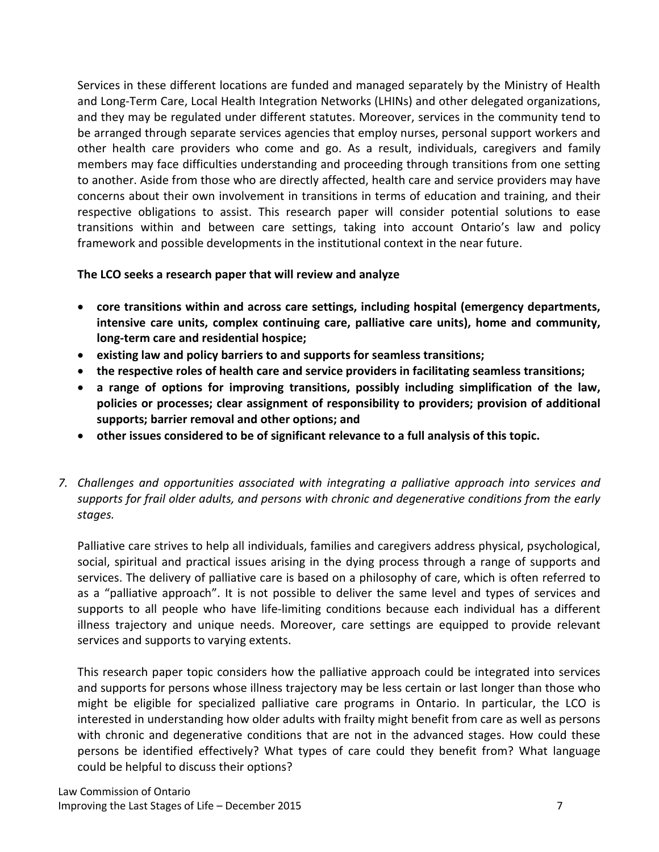Services in these different locations are funded and managed separately by the Ministry of Health and Long-Term Care, Local Health Integration Networks (LHINs) and other delegated organizations, and they may be regulated under different statutes. Moreover, services in the community tend to be arranged through separate services agencies that employ nurses, personal support workers and other health care providers who come and go. As a result, individuals, caregivers and family members may face difficulties understanding and proceeding through transitions from one setting to another. Aside from those who are directly affected, health care and service providers may have concerns about their own involvement in transitions in terms of education and training, and their respective obligations to assist. This research paper will consider potential solutions to ease transitions within and between care settings, taking into account Ontario's law and policy framework and possible developments in the institutional context in the near future.

#### **The LCO seeks a research paper that will review and analyze**

- **core transitions within and across care settings, including hospital (emergency departments, intensive care units, complex continuing care, palliative care units), home and community, long-term care and residential hospice;**
- **existing law and policy barriers to and supports for seamless transitions;**
- **the respective roles of health care and service providers in facilitating seamless transitions;**
- **a range of options for improving transitions, possibly including simplification of the law, policies or processes; clear assignment of responsibility to providers; provision of additional supports; barrier removal and other options; and**
- **other issues considered to be of significant relevance to a full analysis of this topic.**
- *7. Challenges and opportunities associated with integrating a palliative approach into services and supports for frail older adults, and persons with chronic and degenerative conditions from the early stages.*

Palliative care strives to help all individuals, families and caregivers address physical, psychological, social, spiritual and practical issues arising in the dying process through a range of supports and services. The delivery of palliative care is based on a philosophy of care, which is often referred to as a "palliative approach". It is not possible to deliver the same level and types of services and supports to all people who have life-limiting conditions because each individual has a different illness trajectory and unique needs. Moreover, care settings are equipped to provide relevant services and supports to varying extents.

This research paper topic considers how the palliative approach could be integrated into services and supports for persons whose illness trajectory may be less certain or last longer than those who might be eligible for specialized palliative care programs in Ontario. In particular, the LCO is interested in understanding how older adults with frailty might benefit from care as well as persons with chronic and degenerative conditions that are not in the advanced stages. How could these persons be identified effectively? What types of care could they benefit from? What language could be helpful to discuss their options?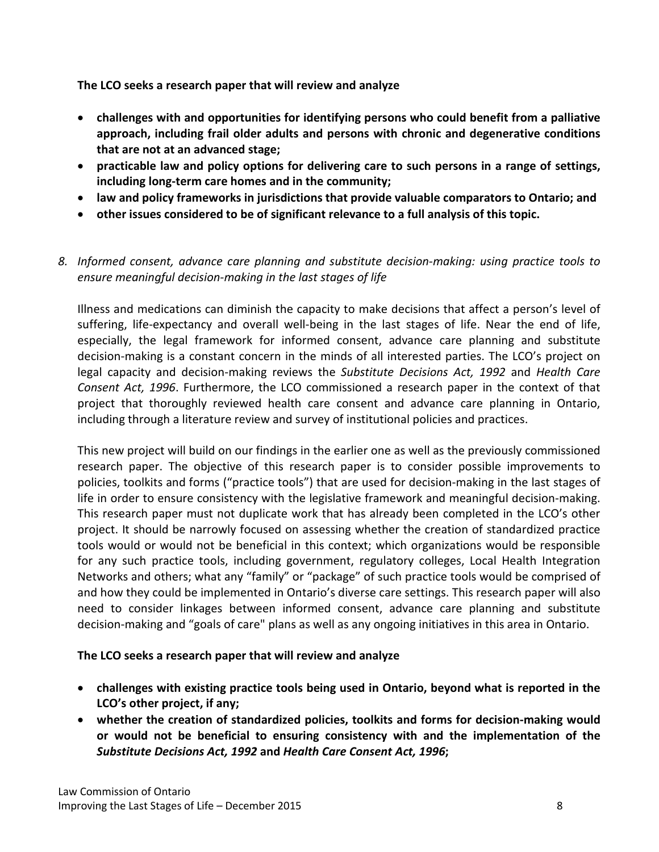**The LCO seeks a research paper that will review and analyze**

- **challenges with and opportunities for identifying persons who could benefit from a palliative approach, including frail older adults and persons with chronic and degenerative conditions that are not at an advanced stage;**
- **practicable law and policy options for delivering care to such persons in a range of settings, including long-term care homes and in the community;**
- **law and policy frameworks in jurisdictions that provide valuable comparators to Ontario; and**
- **other issues considered to be of significant relevance to a full analysis of this topic.**

# *8. Informed consent, advance care planning and substitute decision-making: using practice tools to ensure meaningful decision-making in the last stages of life*

Illness and medications can diminish the capacity to make decisions that affect a person's level of suffering, life-expectancy and overall well-being in the last stages of life. Near the end of life, especially, the legal framework for informed consent, advance care planning and substitute decision-making is a constant concern in the minds of all interested parties. The LCO's project on legal capacity and decision-making reviews the *Substitute Decisions Act, 1992* and *Health Care Consent Act, 1996*. Furthermore, the LCO commissioned a research paper in the context of that project that thoroughly reviewed health care consent and advance care planning in Ontario, including through a literature review and survey of institutional policies and practices.

This new project will build on our findings in the earlier one as well as the previously commissioned research paper. The objective of this research paper is to consider possible improvements to policies, toolkits and forms ("practice tools") that are used for decision-making in the last stages of life in order to ensure consistency with the legislative framework and meaningful decision-making. This research paper must not duplicate work that has already been completed in the LCO's other project. It should be narrowly focused on assessing whether the creation of standardized practice tools would or would not be beneficial in this context; which organizations would be responsible for any such practice tools, including government, regulatory colleges, Local Health Integration Networks and others; what any "family" or "package" of such practice tools would be comprised of and how they could be implemented in Ontario's diverse care settings. This research paper will also need to consider linkages between informed consent, advance care planning and substitute decision-making and "goals of care" plans as well as any ongoing initiatives in this area in Ontario.

# **The LCO seeks a research paper that will review and analyze**

- **challenges with existing practice tools being used in Ontario, beyond what is reported in the LCO's other project, if any;**
- **whether the creation of standardized policies, toolkits and forms for decision-making would or would not be beneficial to ensuring consistency with and the implementation of the**  *Substitute Decisions Act, 1992* **and** *Health Care Consent Act, 1996***;**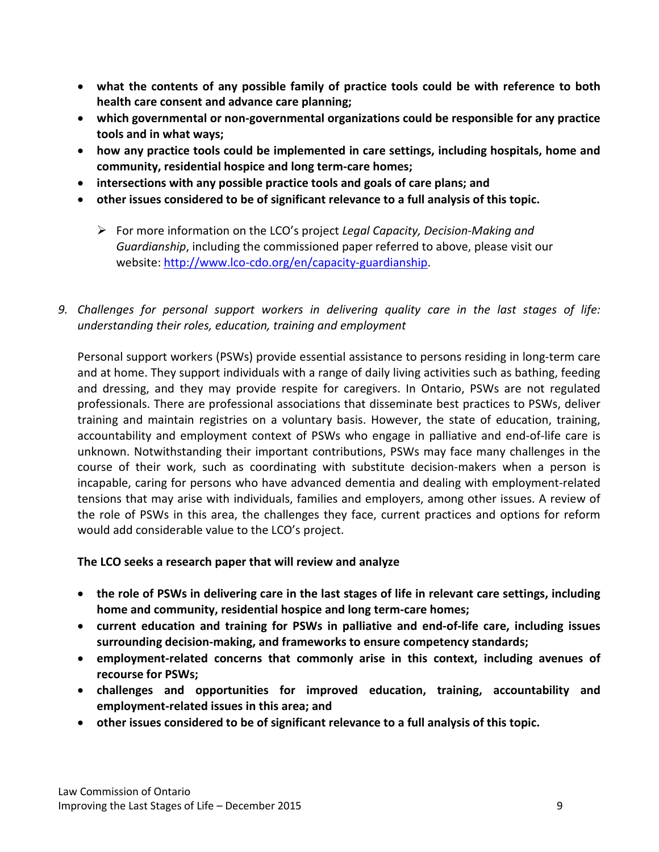- **what the contents of any possible family of practice tools could be with reference to both health care consent and advance care planning;**
- **which governmental or non-governmental organizations could be responsible for any practice tools and in what ways;**
- **how any practice tools could be implemented in care settings, including hospitals, home and community, residential hospice and long term-care homes;**
- **intersections with any possible practice tools and goals of care plans; and**
- **other issues considered to be of significant relevance to a full analysis of this topic.**
	- For more information on the LCO's project *Legal Capacity, Decision-Making and Guardianship*, including the commissioned paper referred to above, please visit our website: [http://www.lco-cdo.org/en/capacity-guardianship.](http://www.lco-cdo.org/en/capacity-guardianship)
- *9. Challenges for personal support workers in delivering quality care in the last stages of life: understanding their roles, education, training and employment*

Personal support workers (PSWs) provide essential assistance to persons residing in long-term care and at home. They support individuals with a range of daily living activities such as bathing, feeding and dressing, and they may provide respite for caregivers. In Ontario, PSWs are not regulated professionals. There are professional associations that disseminate best practices to PSWs, deliver training and maintain registries on a voluntary basis. However, the state of education, training, accountability and employment context of PSWs who engage in palliative and end-of-life care is unknown. Notwithstanding their important contributions, PSWs may face many challenges in the course of their work, such as coordinating with substitute decision-makers when a person is incapable, caring for persons who have advanced dementia and dealing with employment-related tensions that may arise with individuals, families and employers, among other issues. A review of the role of PSWs in this area, the challenges they face, current practices and options for reform would add considerable value to the LCO's project.

# **The LCO seeks a research paper that will review and analyze**

- **the role of PSWs in delivering care in the last stages of life in relevant care settings, including home and community, residential hospice and long term-care homes;**
- **current education and training for PSWs in palliative and end-of-life care, including issues surrounding decision-making, and frameworks to ensure competency standards;**
- **employment-related concerns that commonly arise in this context, including avenues of recourse for PSWs;**
- **challenges and opportunities for improved education, training, accountability and employment-related issues in this area; and**
- **other issues considered to be of significant relevance to a full analysis of this topic.**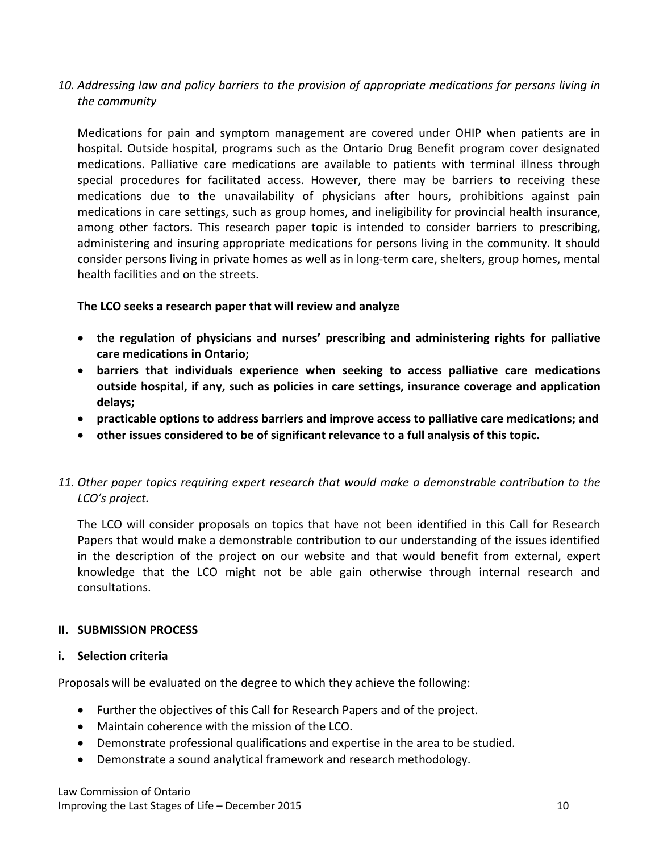*10. Addressing law and policy barriers to the provision of appropriate medications for persons living in the community*

Medications for pain and symptom management are covered under OHIP when patients are in hospital. Outside hospital, programs such as the Ontario Drug Benefit program cover designated medications. Palliative care medications are available to patients with terminal illness through special procedures for facilitated access. However, there may be barriers to receiving these medications due to the unavailability of physicians after hours, prohibitions against pain medications in care settings, such as group homes, and ineligibility for provincial health insurance, among other factors. This research paper topic is intended to consider barriers to prescribing, administering and insuring appropriate medications for persons living in the community. It should consider persons living in private homes as well as in long-term care, shelters, group homes, mental health facilities and on the streets.

#### **The LCO seeks a research paper that will review and analyze**

- **the regulation of physicians and nurses' prescribing and administering rights for palliative care medications in Ontario;**
- **barriers that individuals experience when seeking to access palliative care medications outside hospital, if any, such as policies in care settings, insurance coverage and application delays;**
- **practicable options to address barriers and improve access to palliative care medications; and**
- **other issues considered to be of significant relevance to a full analysis of this topic.**
- *11. Other paper topics requiring expert research that would make a demonstrable contribution to the LCO's project.*

The LCO will consider proposals on topics that have not been identified in this Call for Research Papers that would make a demonstrable contribution to our understanding of the issues identified in the description of the project on our website and that would benefit from external, expert knowledge that the LCO might not be able gain otherwise through internal research and consultations.

# **II. SUBMISSION PROCESS**

#### **i. Selection criteria**

Proposals will be evaluated on the degree to which they achieve the following:

- Further the objectives of this Call for Research Papers and of the project.
- Maintain coherence with the mission of the LCO.
- Demonstrate professional qualifications and expertise in the area to be studied.
- Demonstrate a sound analytical framework and research methodology.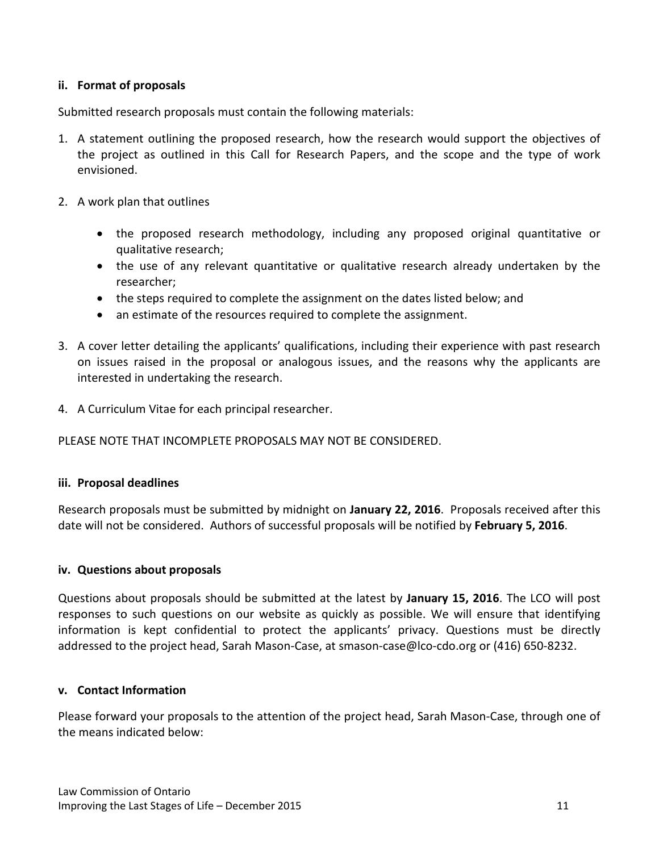#### **ii. Format of proposals**

Submitted research proposals must contain the following materials:

- 1. A statement outlining the proposed research, how the research would support the objectives of the project as outlined in this Call for Research Papers, and the scope and the type of work envisioned.
- 2. A work plan that outlines
	- the proposed research methodology, including any proposed original quantitative or qualitative research;
	- the use of any relevant quantitative or qualitative research already undertaken by the researcher;
	- the steps required to complete the assignment on the dates listed below; and
	- an estimate of the resources required to complete the assignment.
- 3. A cover letter detailing the applicants' qualifications, including their experience with past research on issues raised in the proposal or analogous issues, and the reasons why the applicants are interested in undertaking the research.
- 4. A Curriculum Vitae for each principal researcher.

#### PLEASE NOTE THAT INCOMPLETE PROPOSALS MAY NOT BE CONSIDERED.

#### **iii. Proposal deadlines**

Research proposals must be submitted by midnight on **January 22, 2016**. Proposals received after this date will not be considered. Authors of successful proposals will be notified by **February 5, 2016**.

#### **iv. Questions about proposals**

Questions about proposals should be submitted at the latest by **January 15, 2016**. The LCO will post responses to such questions on our website as quickly as possible. We will ensure that identifying information is kept confidential to protect the applicants' privacy. Questions must be directly addressed to the project head, Sarah Mason-Case, at smason-case@lco-cdo.org or (416) 650-8232.

#### **v. Contact Information**

Please forward your proposals to the attention of the project head, Sarah Mason-Case, through one of the means indicated below: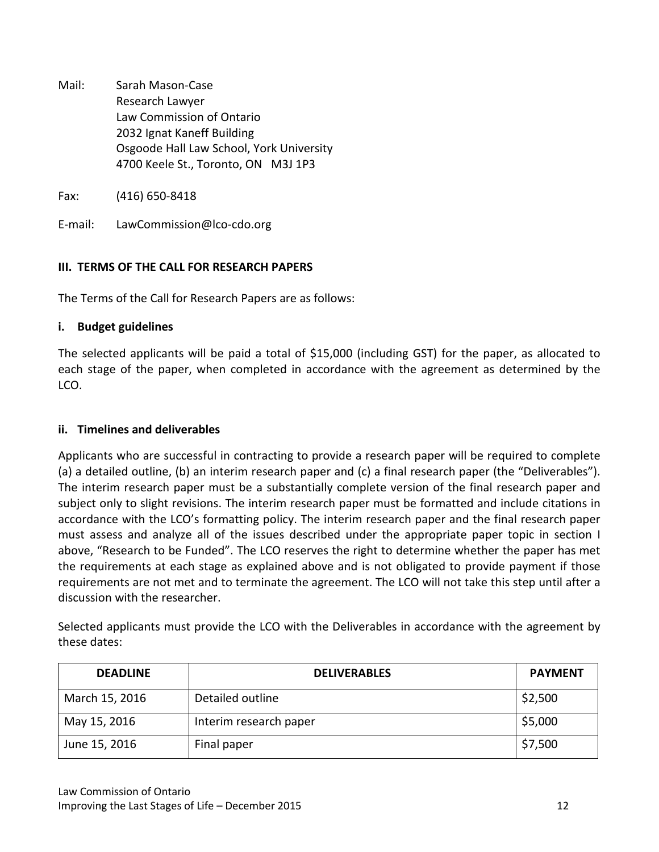Mail: Sarah Mason-Case Research Lawyer Law Commission of Ontario 2032 Ignat Kaneff Building Osgoode Hall Law School, York University 4700 Keele St., Toronto, ON M3J 1P3

Fax: (416) 650-8418

E-mail: LawCommission@lco-cdo.org

# **III. TERMS OF THE CALL FOR RESEARCH PAPERS**

The Terms of the Call for Research Papers are as follows:

#### **i. Budget guidelines**

The selected applicants will be paid a total of \$15,000 (including GST) for the paper, as allocated to each stage of the paper, when completed in accordance with the agreement as determined by the LCO.

### **ii. Timelines and deliverables**

Applicants who are successful in contracting to provide a research paper will be required to complete (a) a detailed outline, (b) an interim research paper and (c) a final research paper (the "Deliverables"). The interim research paper must be a substantially complete version of the final research paper and subject only to slight revisions. The interim research paper must be formatted and include citations in accordance with the LCO's formatting policy. The interim research paper and the final research paper must assess and analyze all of the issues described under the appropriate paper topic in section I above, "Research to be Funded". The LCO reserves the right to determine whether the paper has met the requirements at each stage as explained above and is not obligated to provide payment if those requirements are not met and to terminate the agreement. The LCO will not take this step until after a discussion with the researcher.

Selected applicants must provide the LCO with the Deliverables in accordance with the agreement by these dates:

| <b>DEADLINE</b> | <b>DELIVERABLES</b>    | <b>PAYMENT</b> |
|-----------------|------------------------|----------------|
| March 15, 2016  | Detailed outline       | \$2,500        |
| May 15, 2016    | Interim research paper | \$5,000        |
| June 15, 2016   | Final paper            | \$7,500        |